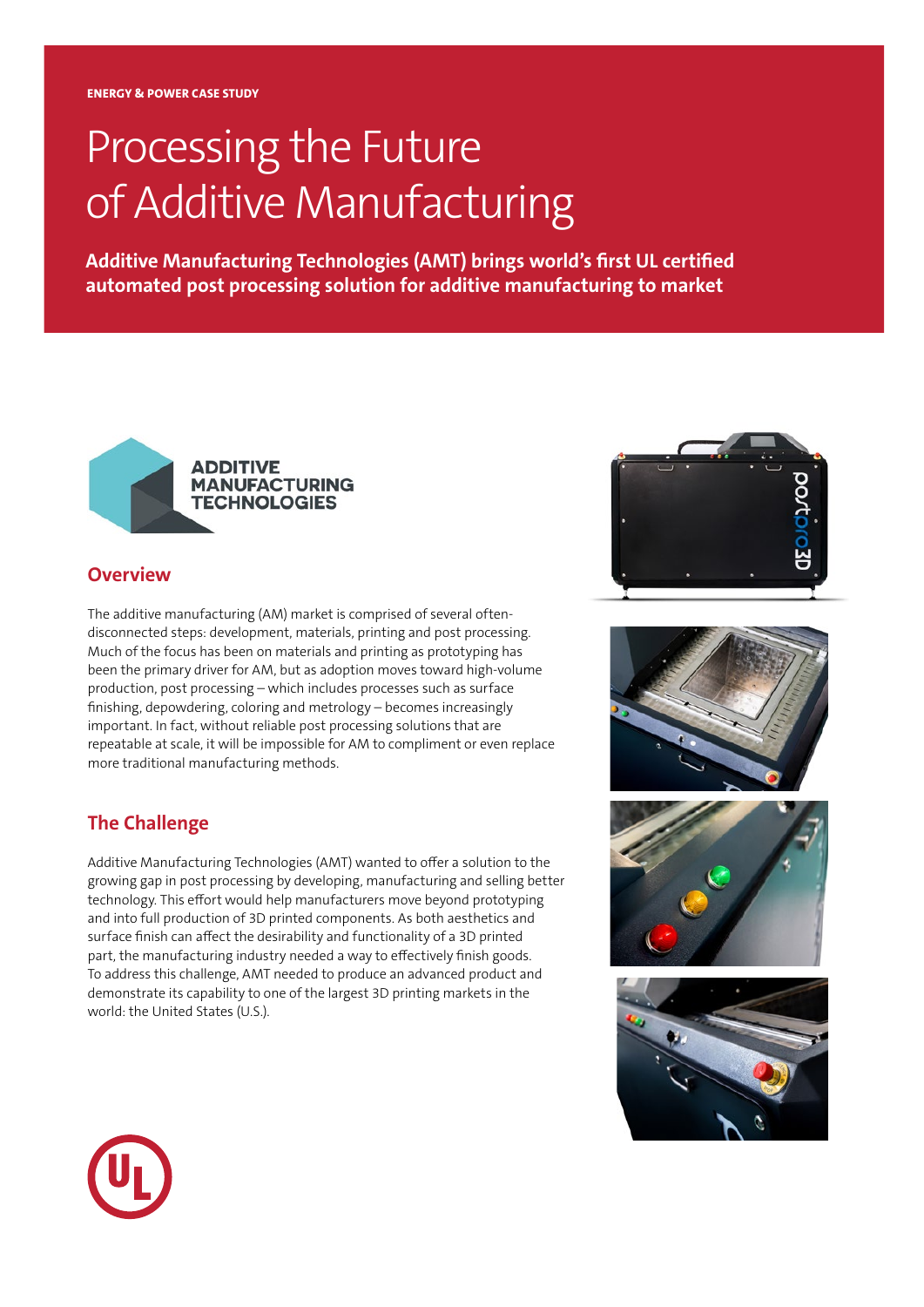## Processing the Future of Additive Manufacturing

**Additive Manufacturing Technologies (AMT) brings world's first UL certified automated post processing solution for additive manufacturing to market**



## **Overview**

The additive manufacturing (AM) market is comprised of several oftendisconnected steps: development, materials, printing and post processing. Much of the focus has been on materials and printing as prototyping has been the primary driver for AM, but as adoption moves toward high-volume production, post processing – which includes processes such as surface finishing, depowdering, coloring and metrology – becomes increasingly important. In fact, without reliable post processing solutions that are repeatable at scale, it will be impossible for AM to compliment or even replace more traditional manufacturing methods.

## **The Challenge**

Additive Manufacturing Technologies (AMT) wanted to offer a solution to the growing gap in post processing by developing, manufacturing and selling better technology. This effort would help manufacturers move beyond prototyping and into full production of 3D printed components. As both aesthetics and surface finish can affect the desirability and functionality of a 3D printed part, the manufacturing industry needed a way to effectively finish goods. To address this challenge, AMT needed to produce an advanced product and demonstrate its capability to one of the largest 3D printing markets in the world: the United States (U.S.).